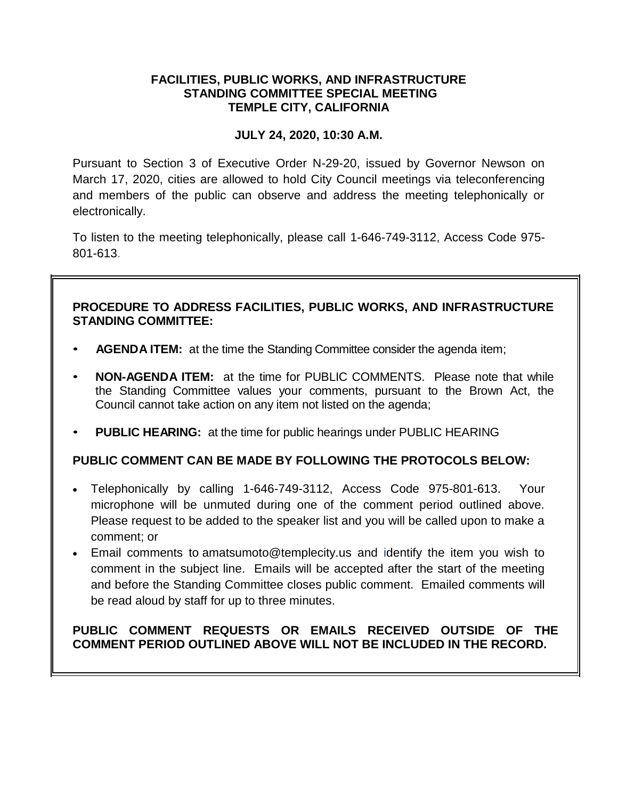# **FACILITIES, PUBLIC WORKS, AND INFRASTRUCTURE STANDING COMMITTEE SPECIAL MEETING TEMPLE CITY, CALIFORNIA**

# **JULY 24, 2020, 10:30 A.M.**

Pursuant to Section 3 of Executive Order N-29-20, issued by Governor Newson on March 17, 2020, cities are allowed to hold City Council meetings via teleconferencing and members of the public can observe and address the meeting telephonically or electronically.

To listen to the meeting telephonically, please call 1-646-749-3112, Access Code 975- 801-613.

# **PROCEDURE TO ADDRESS FACILITIES, PUBLIC WORKS, AND INFRASTRUCTURE STANDING COMMITTEE:**

- **AGENDA ITEM:** at the time the Standing Committee consider the agenda item;
- **NON-AGENDA ITEM:** at the time for PUBLIC COMMENTS. Please note that while the Standing Committee values your comments, pursuant to the Brown Act, the Council cannot take action on any item not listed on the agenda;
- **PUBLIC HEARING:** at the time for public hearings under PUBLIC HEARING

## **PUBLIC COMMENT CAN BE MADE BY FOLLOWING THE PROTOCOLS BELOW:**

- Telephonically by calling 1-646-749-3112, Access Code 975-801-613. Your microphone will be unmuted during one of the comment period outlined above. Please request to be added to the speaker list and you will be called upon to make a comment; or
- Email comments to amatsumoto@templecity.us and identify the item you wish to comment in the subject line. Emails will be accepted after the start of the meeting and before the Standing Committee closes public comment. Emailed comments will be read aloud by staff for up to three minutes.

# **PUBLIC COMMENT REQUESTS OR EMAILS RECEIVED OUTSIDE OF THE COMMENT PERIOD OUTLINED ABOVE WILL NOT BE INCLUDED IN THE RECORD.**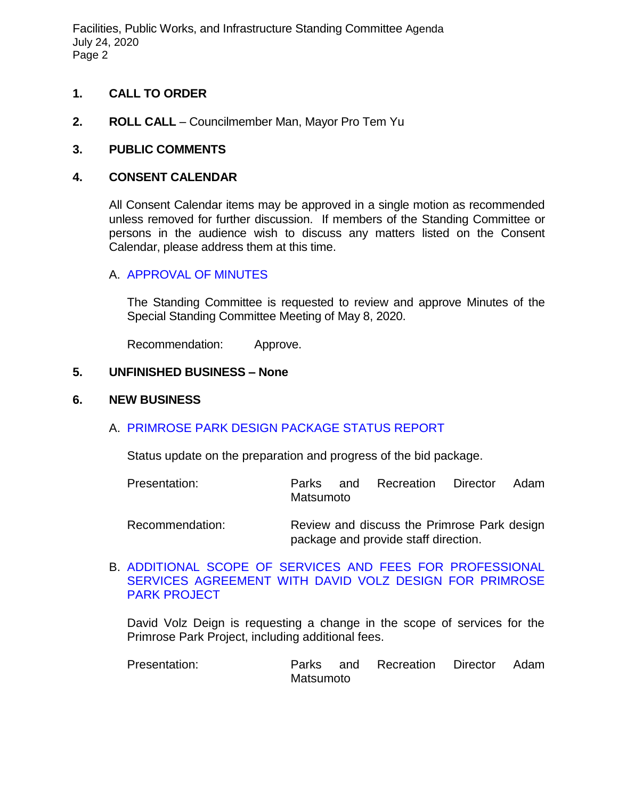Facilities, Public Works, and Infrastructure Standing Committee Agenda July 24, 2020 Page 2

## **1. CALL TO ORDER**

**2. ROLL CALL** – Councilmember Man, Mayor Pro Tem Yu

# **3. PUBLIC COMMENTS**

### **4. CONSENT CALENDAR**

All Consent Calendar items may be approved in a single motion as recommended unless removed for further discussion. If members of the Standing Committee or persons in the audience wish to discuss any matters listed on the Consent Calendar, please address them at this time.

## A. [APPROVAL OF MINUTES](https://ca-templecity.civicplus.com/DocumentCenter/View/14833/02-4A-PWSC-Minutes-2020-05-08)

The Standing Committee is requested to review and approve Minutes of the Special Standing Committee Meeting of May 8, 2020.

Recommendation: Approve.

#### **5. UNFINISHED BUSINESS – None**

#### **6. NEW BUSINESS**

## A. [PRIMROSE PARK DESIGN PACKAGE STATUS REPORT](https://ca-templecity.civicplus.com/DocumentCenter/View/14834/03-6A-Primrose-Park-Design-Status-Update-)

Status update on the preparation and progress of the bid package.

| Presentation:   | Parks<br>Matsumoto                                                                  |  | and Recreation Director |  | Adam |
|-----------------|-------------------------------------------------------------------------------------|--|-------------------------|--|------|
| Recommendation: | Review and discuss the Primrose Park design<br>package and provide staff direction. |  |                         |  |      |

### B. [ADDITIONAL SCOPE OF SERVICES AND FEES FOR PROFESSIONAL](https://ca-templecity.civicplus.com/DocumentCenter/View/14832/04-6B-Additional-Scope-and-Services-and-Fees-for-Agreement-with-David-Volz)  [SERVICES AGREEMENT WITH DAVID VOLZ DESIGN FOR PRIMROSE](https://ca-templecity.civicplus.com/DocumentCenter/View/14832/04-6B-Additional-Scope-and-Services-and-Fees-for-Agreement-with-David-Volz)  [PARK PROJECT](https://ca-templecity.civicplus.com/DocumentCenter/View/14832/04-6B-Additional-Scope-and-Services-and-Fees-for-Agreement-with-David-Volz)

David Volz Deign is requesting a change in the scope of services for the Primrose Park Project, including additional fees.

Presentation: Parks and Recreation Director Adam Matsumoto